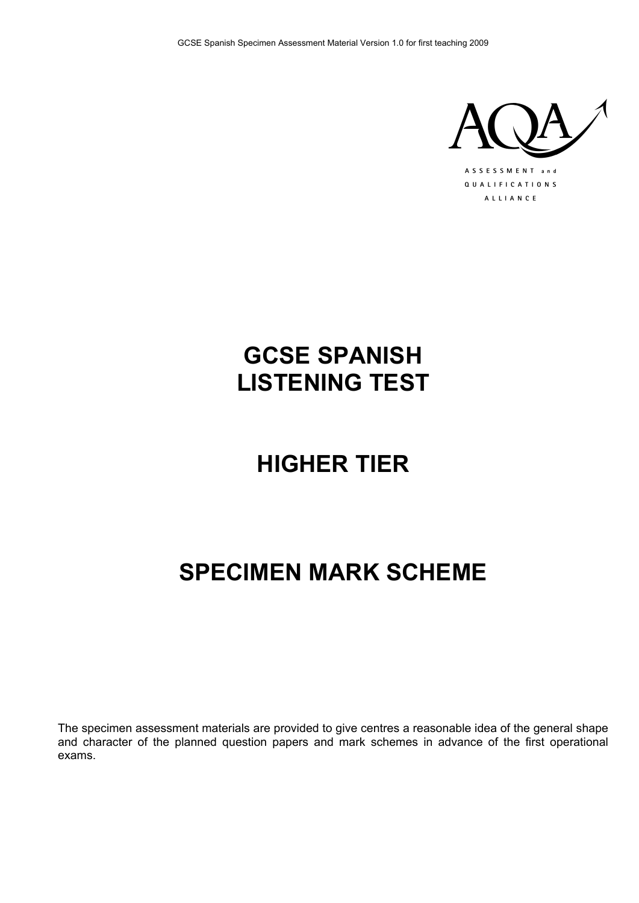

## **GCSE SPANISH LISTENING TEST**

# **HIGHER TIER**

## **SPECIMEN MARK SCHEME**

The specimen assessment materials are provided to give centres a reasonable idea of the general shape and character of the planned question papers and mark schemes in advance of the first operational exams.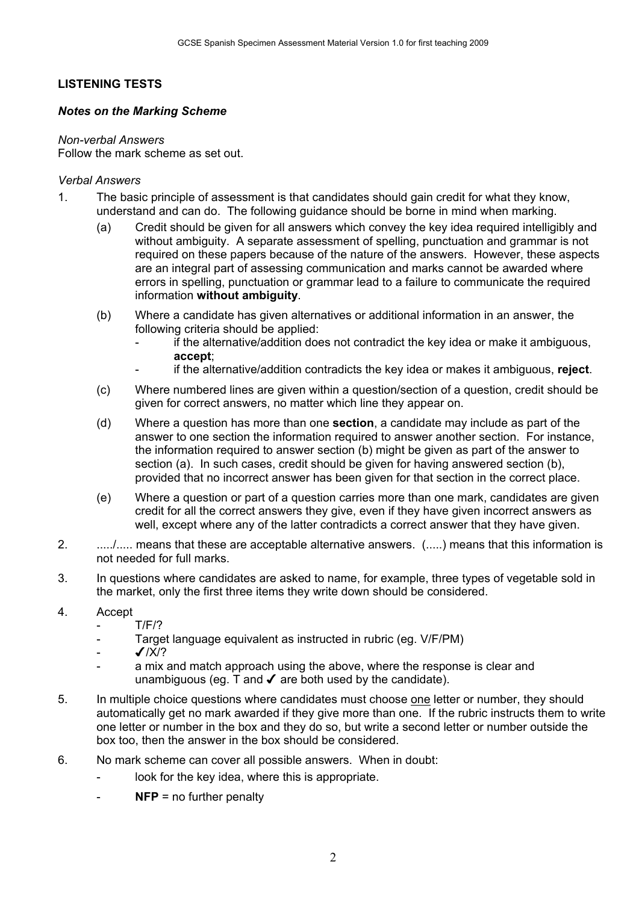## **LISTENING TESTS**

### *Notes on the Marking Scheme*

#### *Non-verbal Answers*

Follow the mark scheme as set out.

### *Verbal Answers*

- 1. The basic principle of assessment is that candidates should gain credit for what they know, understand and can do. The following guidance should be borne in mind when marking.
	- (a) Credit should be given for all answers which convey the key idea required intelligibly and without ambiguity. A separate assessment of spelling, punctuation and grammar is not required on these papers because of the nature of the answers. However, these aspects are an integral part of assessing communication and marks cannot be awarded where errors in spelling, punctuation or grammar lead to a failure to communicate the required information **without ambiguity**.
	- (b) Where a candidate has given alternatives or additional information in an answer, the following criteria should be applied:
		- if the alternative/addition does not contradict the key idea or make it ambiguous, **accept**;
		- if the alternative/addition contradicts the key idea or makes it ambiguous, **reject**.
	- (c) Where numbered lines are given within a question/section of a question, credit should be given for correct answers, no matter which line they appear on.
	- (d) Where a question has more than one **section**, a candidate may include as part of the answer to one section the information required to answer another section. For instance, the information required to answer section (b) might be given as part of the answer to section (a). In such cases, credit should be given for having answered section (b), provided that no incorrect answer has been given for that section in the correct place.
	- (e) Where a question or part of a question carries more than one mark, candidates are given credit for all the correct answers they give, even if they have given incorrect answers as well, except where any of the latter contradicts a correct answer that they have given.
- 2. ................ means that these are acceptable alternative answers. (.....) means that this information is not needed for full marks.
- 3. In questions where candidates are asked to name, for example, three types of vegetable sold in the market, only the first three items they write down should be considered.
- 4. Accept
	- T/F/?
	- Target language equivalent as instructed in rubric (eg. V/F/PM)
	- $J/X/?$
	- a mix and match approach using the above, where the response is clear and unambiguous (eq.  $\overline{T}$  and  $\overline{V}$  are both used by the candidate).
- 5. In multiple choice questions where candidates must choose one letter or number, they should automatically get no mark awarded if they give more than one. If the rubric instructs them to write one letter or number in the box and they do so, but write a second letter or number outside the box too, then the answer in the box should be considered.
- 6. No mark scheme can cover all possible answers. When in doubt:
	- look for the key idea, where this is appropriate.
	- **NFP** = no further penalty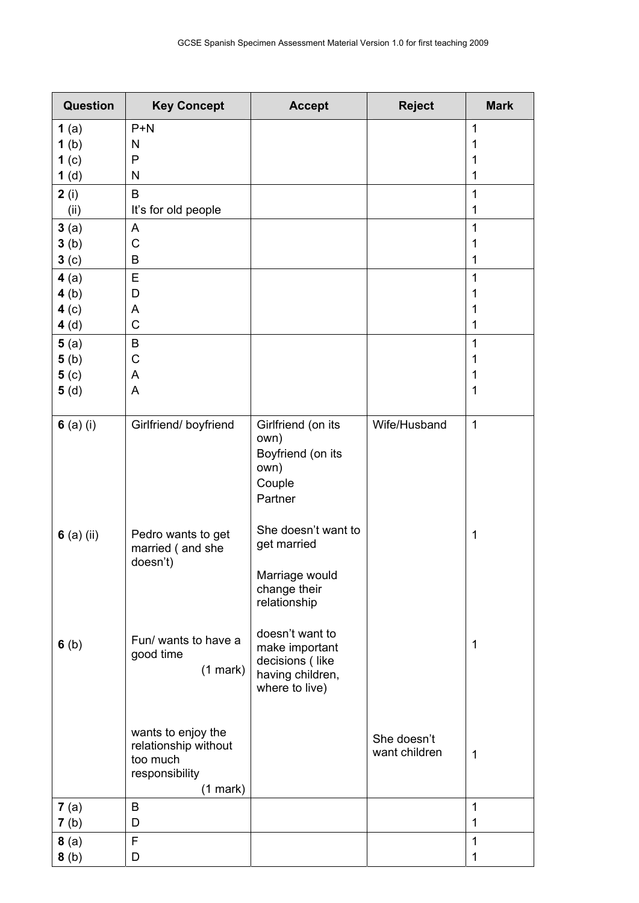| <b>Question</b>  | <b>Key Concept</b>                                                                        | <b>Accept</b>                                                                              | <b>Reject</b>                | <b>Mark</b>  |
|------------------|-------------------------------------------------------------------------------------------|--------------------------------------------------------------------------------------------|------------------------------|--------------|
| 1(a)             | $P+N$                                                                                     |                                                                                            |                              | 1            |
| 1(b)             | N                                                                                         |                                                                                            |                              | 1            |
| 1 <sub>(c)</sub> | P                                                                                         |                                                                                            |                              | 1            |
| 1(d)             | N                                                                                         |                                                                                            |                              | 1            |
| 2(i)             | B                                                                                         |                                                                                            |                              | 1            |
| (ii)             | It's for old people                                                                       |                                                                                            |                              | 1            |
| 3(a)             | A                                                                                         |                                                                                            |                              | 1            |
| 3(b)             | C                                                                                         |                                                                                            |                              | 1            |
| 3 <sub>(c)</sub> | B                                                                                         |                                                                                            |                              | 1            |
| 4(a)             | E                                                                                         |                                                                                            |                              | 1            |
| 4(b)             | D                                                                                         |                                                                                            |                              | 1            |
| 4(c)             | A                                                                                         |                                                                                            |                              | 1            |
| 4(d)             | $\mathsf C$                                                                               |                                                                                            |                              | 1            |
| 5(a)             | B                                                                                         |                                                                                            |                              | 1            |
| 5(b)<br>5( c)    | C<br>A                                                                                    |                                                                                            |                              | 1<br>1       |
| 5(d)             | A                                                                                         |                                                                                            |                              | 1            |
|                  |                                                                                           |                                                                                            |                              |              |
| 6 $(a)$ $(i)$    | Girlfriend/boyfriend                                                                      | Girlfriend (on its<br>own)<br>Boyfriend (on its<br>own)<br>Couple<br>Partner               | Wife/Husband                 | 1            |
| 6 $(a)$ $(ii)$   | Pedro wants to get<br>married (and she<br>doesn't)                                        | She doesn't want to<br>get married<br>Marriage would<br>change their<br>relationship       |                              | 1            |
| 6(b)             | Fun/ wants to have a<br>good time<br>(1 mark)                                             | doesn't want to<br>make important<br>decisions (like<br>having children,<br>where to live) |                              | 1            |
|                  | wants to enjoy the<br>relationship without<br>too much<br>responsibility<br>$(1$ mark $)$ |                                                                                            | She doesn't<br>want children | $\mathbf{1}$ |
| 7(a)             | B                                                                                         |                                                                                            |                              | 1            |
| 7(b)             | D                                                                                         |                                                                                            |                              | 1            |
| 8(a)             | F                                                                                         |                                                                                            |                              | 1            |
| 8(b)             | D                                                                                         |                                                                                            |                              | 1            |